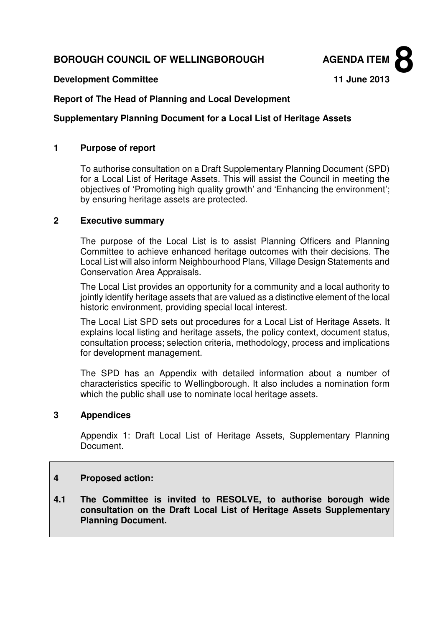# **BOROUGH COUNCIL OF WELLINGBOROUGH AGENDA ITEM**



#### **Development Committee 11 June 2013**

### **Report of The Head of Planning and Local Development**

#### **Supplementary Planning Document for a Local List of Heritage Assets**

#### **1 Purpose of report**

To authorise consultation on a Draft Supplementary Planning Document (SPD) for a Local List of Heritage Assets. This will assist the Council in meeting the objectives of 'Promoting high quality growth' and 'Enhancing the environment'; by ensuring heritage assets are protected.

#### **2 Executive summary**

The purpose of the Local List is to assist Planning Officers and Planning Committee to achieve enhanced heritage outcomes with their decisions. The Local List will also inform Neighbourhood Plans, Village Design Statements and Conservation Area Appraisals.

The Local List provides an opportunity for a community and a local authority to jointly identify heritage assets that are valued as a distinctive element of the local historic environment, providing special local interest.

The Local List SPD sets out procedures for a Local List of Heritage Assets. It explains local listing and heritage assets, the policy context, document status, consultation process; selection criteria, methodology, process and implications for development management.

The SPD has an Appendix with detailed information about a number of characteristics specific to Wellingborough. It also includes a nomination form which the public shall use to nominate local heritage assets.

## **3 Appendices**

Appendix 1: Draft Local List of Heritage Assets, Supplementary Planning Document.

### **4 Proposed action:**

**4.1 The Committee is invited to RESOLVE, to authorise borough wide consultation on the Draft Local List of Heritage Assets Supplementary Planning Document.**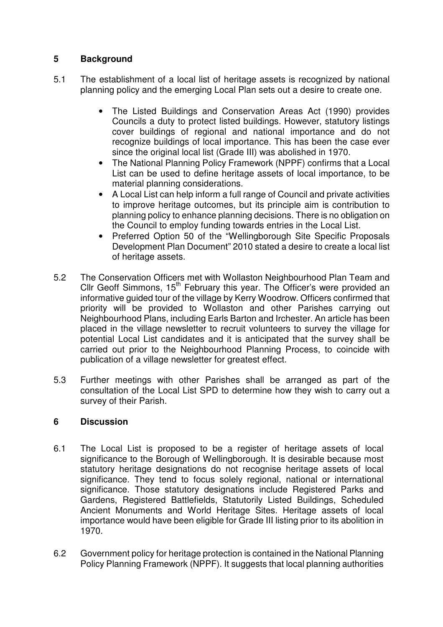# **5 Background**

- 5.1 The establishment of a local list of heritage assets is recognized by national planning policy and the emerging Local Plan sets out a desire to create one.
	- The Listed Buildings and Conservation Areas Act (1990) provides Councils a duty to protect listed buildings. However, statutory listings cover buildings of regional and national importance and do not recognize buildings of local importance. This has been the case ever since the original local list (Grade III) was abolished in 1970.
	- The National Planning Policy Framework (NPPF) confirms that a Local List can be used to define heritage assets of local importance, to be material planning considerations.
	- A Local List can help inform a full range of Council and private activities to improve heritage outcomes, but its principle aim is contribution to planning policy to enhance planning decisions. There is no obligation on the Council to employ funding towards entries in the Local List.
	- Preferred Option 50 of the "Wellingborough Site Specific Proposals Development Plan Document" 2010 stated a desire to create a local list of heritage assets.
- 5.2 The Conservation Officers met with Wollaston Neighbourhood Plan Team and Cllr Geoff Simmons, 15<sup>th</sup> February this year. The Officer's were provided an informative guided tour of the village by Kerry Woodrow. Officers confirmed that priority will be provided to Wollaston and other Parishes carrying out Neighbourhood Plans, including Earls Barton and Irchester. An article has been placed in the village newsletter to recruit volunteers to survey the village for potential Local List candidates and it is anticipated that the survey shall be carried out prior to the Neighbourhood Planning Process, to coincide with publication of a village newsletter for greatest effect.
- 5.3 Further meetings with other Parishes shall be arranged as part of the consultation of the Local List SPD to determine how they wish to carry out a survey of their Parish.

# **6 Discussion**

- 6.1 The Local List is proposed to be a register of heritage assets of local significance to the Borough of Wellingborough. It is desirable because most statutory heritage designations do not recognise heritage assets of local significance. They tend to focus solely regional, national or international significance. Those statutory designations include Registered Parks and Gardens, Registered Battlefields, Statutorily Listed Buildings, Scheduled Ancient Monuments and World Heritage Sites. Heritage assets of local importance would have been eligible for Grade III listing prior to its abolition in 1970.
- 6.2 Government policy for heritage protection is contained in the National Planning Policy Planning Framework (NPPF). It suggests that local planning authorities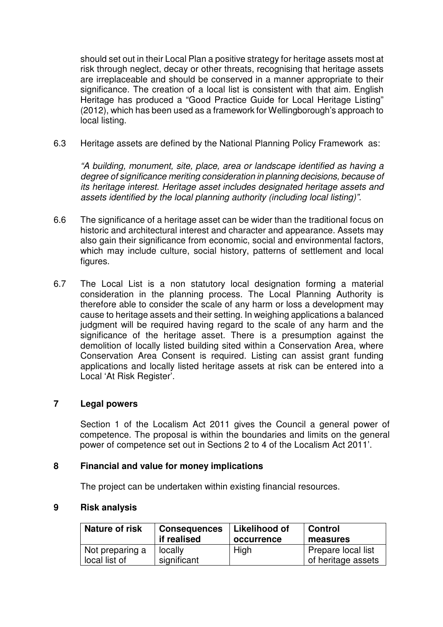should set out in their Local Plan a positive strategy for heritage assets most at risk through neglect, decay or other threats, recognising that heritage assets are irreplaceable and should be conserved in a manner appropriate to their significance. The creation of a local list is consistent with that aim. English Heritage has produced a "Good Practice Guide for Local Heritage Listing" (2012), which has been used as a framework for Wellingborough's approach to local listing.

6.3 Heritage assets are defined by the National Planning Policy Framework as:

"A building, monument, site, place, area or landscape identified as having a degree of significance meriting consideration in planning decisions, because of its heritage interest. Heritage asset includes designated heritage assets and assets identified by the local planning authority (including local listing)".

- 6.6 The significance of a heritage asset can be wider than the traditional focus on historic and architectural interest and character and appearance. Assets may also gain their significance from economic, social and environmental factors, which may include culture, social history, patterns of settlement and local figures.
- 6.7 The Local List is a non statutory local designation forming a material consideration in the planning process. The Local Planning Authority is therefore able to consider the scale of any harm or loss a development may cause to heritage assets and their setting. In weighing applications a balanced judgment will be required having regard to the scale of any harm and the significance of the heritage asset. There is a presumption against the demolition of locally listed building sited within a Conservation Area, where Conservation Area Consent is required. Listing can assist grant funding applications and locally listed heritage assets at risk can be entered into a Local 'At Risk Register'.

### **7 Legal powers**

Section 1 of the Localism Act 2011 gives the Council a general power of competence. The proposal is within the boundaries and limits on the general power of competence set out in Sections 2 to 4 of the Localism Act 2011'.

### **8 Financial and value for money implications**

The project can be undertaken within existing financial resources.

### **9 Risk analysis**

| <b>Nature of risk</b> | <b>Consequences</b> | Likelihood of | <b>Control</b>     |
|-----------------------|---------------------|---------------|--------------------|
|                       | if realised         | occurrence    | measures           |
| Not preparing a       | locally             | High          | Prepare local list |
| local list of         | significant         |               | of heritage assets |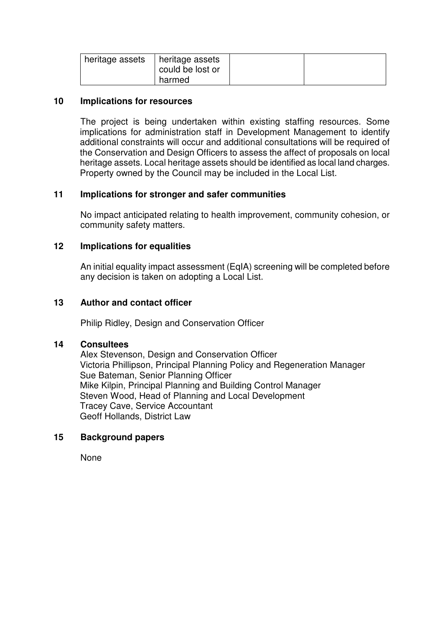| heritage assets   heritage assets | could be lost or |  |
|-----------------------------------|------------------|--|
|                                   | harmed           |  |

#### **10 Implications for resources**

The project is being undertaken within existing staffing resources. Some implications for administration staff in Development Management to identify additional constraints will occur and additional consultations will be required of the Conservation and Design Officers to assess the affect of proposals on local heritage assets. Local heritage assets should be identified as local land charges. Property owned by the Council may be included in the Local List.

### **11 Implications for stronger and safer communities**

No impact anticipated relating to health improvement, community cohesion, or community safety matters.

### **12 Implications for equalities**

An initial equality impact assessment (EqIA) screening will be completed before any decision is taken on adopting a Local List.

### **13 Author and contact officer**

Philip Ridley, Design and Conservation Officer

#### **14 Consultees**

Alex Stevenson, Design and Conservation Officer Victoria Phillipson, Principal Planning Policy and Regeneration Manager Sue Bateman, Senior Planning Officer Mike Kilpin, Principal Planning and Building Control Manager Steven Wood, Head of Planning and Local Development Tracey Cave, Service Accountant Geoff Hollands, District Law

### **15 Background papers**

None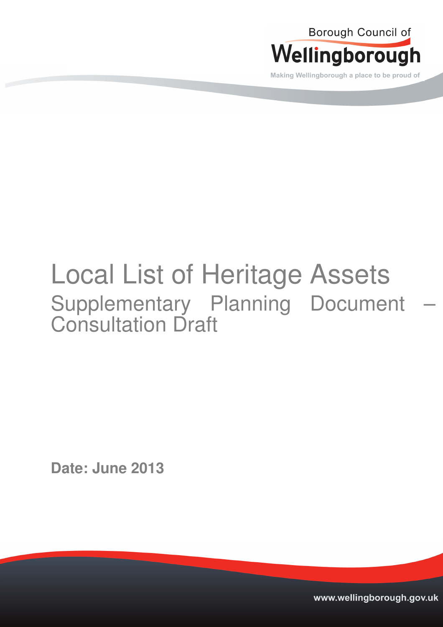

Making Wellingborough a place to be proud of

# Local List of Heritage Assets Supplementary Planning Document Consultation Draft

**Date: June 2013** 

www.wellingborough.gov.uk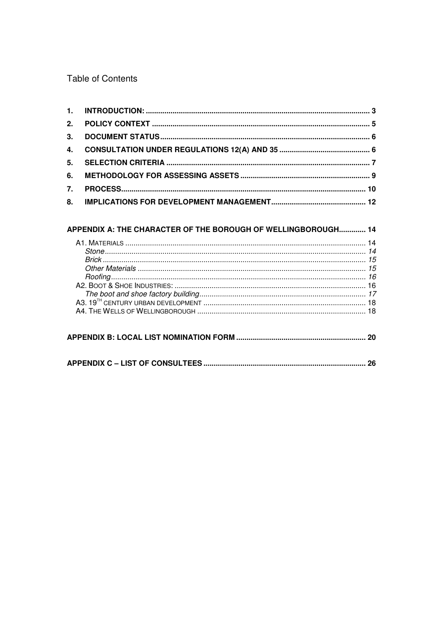Table of Contents

| 7. |  |
|----|--|
|    |  |

| APPENDIX A: THE CHARACTER OF THE BOROUGH OF WELLINGBOROUGH 14                                                                                                                                                                     |    |
|-----------------------------------------------------------------------------------------------------------------------------------------------------------------------------------------------------------------------------------|----|
| 76 يست. بين المستند المستند المستند المستند المستند المستند المستند المستند المستند المستند المستند المستند ال<br>16 يست المستند المستند المستند المستند المستند المستند المستند المستند المستند المستند 19 A2. Boot & Shoe Inpus |    |
|                                                                                                                                                                                                                                   | 20 |
|                                                                                                                                                                                                                                   | 26 |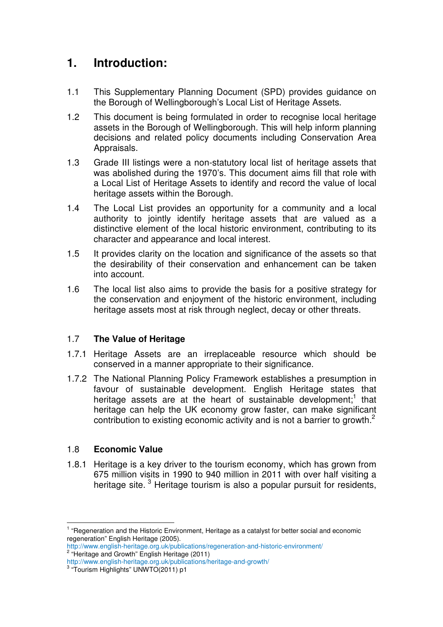# **1. Introduction:**

- 1.1 This Supplementary Planning Document (SPD) provides guidance on the Borough of Wellingborough's Local List of Heritage Assets.
- 1.2 This document is being formulated in order to recognise local heritage assets in the Borough of Wellingborough. This will help inform planning decisions and related policy documents including Conservation Area Appraisals.
- 1.3 Grade III listings were a non-statutory local list of heritage assets that was abolished during the 1970's. This document aims fill that role with a Local List of Heritage Assets to identify and record the value of local heritage assets within the Borough.
- 1.4 The Local List provides an opportunity for a community and a local authority to jointly identify heritage assets that are valued as a distinctive element of the local historic environment, contributing to its character and appearance and local interest.
- 1.5 It provides clarity on the location and significance of the assets so that the desirability of their conservation and enhancement can be taken into account.
- 1.6 The local list also aims to provide the basis for a positive strategy for the conservation and enjoyment of the historic environment, including heritage assets most at risk through neglect, decay or other threats.

# 1.7 **The Value of Heritage**

- 1.7.1 Heritage Assets are an irreplaceable resource which should be conserved in a manner appropriate to their significance.
- 1.7.2 The National Planning Policy Framework establishes a presumption in favour of sustainable development. English Heritage states that heritage assets are at the heart of sustainable development;<sup>1</sup> that heritage can help the UK economy grow faster, can make significant contribution to existing economic activity and is not a barrier to growth.<sup>2</sup>

# 1.8 **Economic Value**

 $\overline{a}$ 

1.8.1 Heritage is a key driver to the tourism economy, which has grown from 675 million visits in 1990 to 940 million in 2011 with over half visiting a heritage site.<sup>3</sup> Heritage tourism is also a popular pursuit for residents,

<sup>&</sup>lt;sup>1</sup> "Regeneration and the Historic Environment, Heritage as a catalyst for better social and economic regeneration" English Heritage (2005).

http://www.english-heritage.org.uk/publications/regeneration-and-historic-environment/ <sup>2</sup> "Heritage and Growth" English Heritage (2011)

http://www.english-heritage.org.uk/publications/heritage-and-growth/ 3 "Tourism Highlights" UNWTO(2011) p1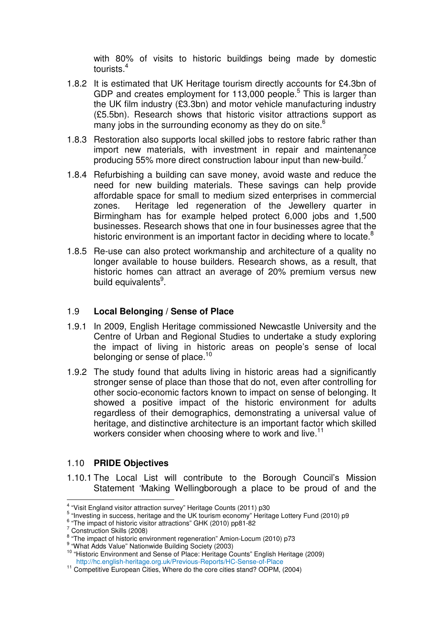with 80% of visits to historic buildings being made by domestic tourists.<sup>4</sup>

- 1.8.2 It is estimated that UK Heritage tourism directly accounts for £4.3bn of GDP and creates employment for 113,000 people. $5$  This is larger than the UK film industry (£3.3bn) and motor vehicle manufacturing industry (£5.5bn). Research shows that historic visitor attractions support as many jobs in the surrounding economy as they do on site.<sup>6</sup>
- 1.8.3 Restoration also supports local skilled jobs to restore fabric rather than import new materials, with investment in repair and maintenance producing 55% more direct construction labour input than new-build.<sup>7</sup>
- 1.8.4 Refurbishing a building can save money, avoid waste and reduce the need for new building materials. These savings can help provide affordable space for small to medium sized enterprises in commercial zones. Heritage led regeneration of the Jewellery quarter in Birmingham has for example helped protect 6,000 jobs and 1,500 businesses. Research shows that one in four businesses agree that the historic environment is an important factor in deciding where to locate.<sup>8</sup>
- 1.8.5 Re-use can also protect workmanship and architecture of a quality no longer available to house builders. Research shows, as a result, that historic homes can attract an average of 20% premium versus new build equivalents<sup>9</sup>.

### 1.9 **Local Belonging / Sense of Place**

- 1.9.1 In 2009, English Heritage commissioned Newcastle University and the Centre of Urban and Regional Studies to undertake a study exploring the impact of living in historic areas on people's sense of local belonging or sense of place.<sup>10</sup>
- 1.9.2 The study found that adults living in historic areas had a significantly stronger sense of place than those that do not, even after controlling for other socio-economic factors known to impact on sense of belonging. It showed a positive impact of the historic environment for adults regardless of their demographics, demonstrating a universal value of heritage, and distinctive architecture is an important factor which skilled workers consider when choosing where to work and live.<sup>11</sup>

## 1.10 **PRIDE Objectives**

1.10.1 The Local List will contribute to the Borough Council's Mission Statement 'Making Wellingborough a place to be proud of and the  $\overline{a}$ 

 $\frac{4}{3}$  "Visit England visitor attraction survey" Heritage Counts (2011) p30

<sup>&</sup>lt;sup>5</sup> "Investing in success, heritage and the UK tourism economy" Heritage Lottery Fund (2010) p9

 $^6$  "The impact of historic visitor attractions" GHK (2010) pp81-82

<sup>&</sup>lt;sup>7</sup> Construction Skills (2008)

<sup>&</sup>lt;sup>8</sup> "The impact of historic environment regeneration" Amion-Locum (2010) p73

<sup>9</sup> "What Adds Value" Nationwide Building Society (2003)

<sup>10</sup> "Historic Environment and Sense of Place: Heritage Counts" English Heritage (2009) http://hc.english-heritage.org.uk/Previous-Reports/HC-Sense-of-Place

<sup>&</sup>lt;sup>11</sup> Competitive European Cities, Where do the core cities stand? ODPM, (2004)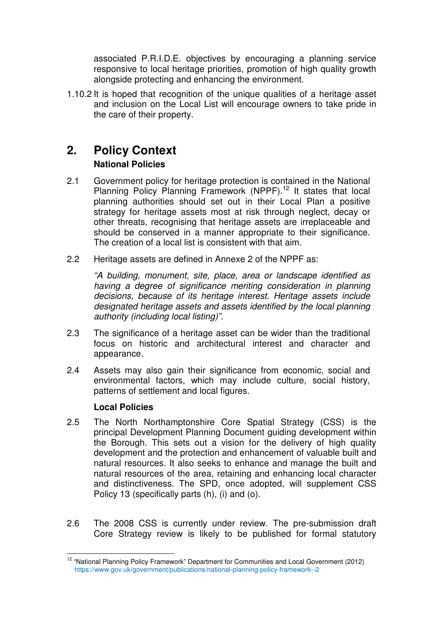associated P.R.I.D.E. objectives by encouraging a planning service responsive to local heritage priorities, promotion of high quality growth alongside protecting and enhancing the environment.

1.10.2 It is hoped that recognition of the unique qualities of a heritage asset and inclusion on the Local List will encourage owners to take pride in the care of their property.

# **2. Policy Context**

# **National Policies**

- 2.1 Government policy for heritage protection is contained in the National Planning Policy Planning Framework (NPPF).<sup>12</sup> It states that local planning authorities should set out in their Local Plan a positive strategy for heritage assets most at risk through neglect, decay or other threats, recognising that heritage assets are irreplaceable and should be conserved in a manner appropriate to their significance. The creation of a local list is consistent with that aim.
- 2.2 Heritage assets are defined in Annexe 2 of the NPPF as:

"A building, monument, site, place, area or landscape identified as having a degree of significance meriting consideration in planning decisions, because of its heritage interest. Heritage assets include designated heritage assets and assets identified by the local planning authority (including local listing)".

- 2.3 The significance of a heritage asset can be wider than the traditional focus on historic and architectural interest and character and appearance.
- 2.4 Assets may also gain their significance from economic, social and environmental factors, which may include culture, social history, patterns of settlement and local figures.

# **Local Policies**

 $\overline{a}$ 

- 2.5 The North Northamptonshire Core Spatial Strategy (CSS) is the principal Development Planning Document guiding development within the Borough. This sets out a vision for the delivery of high quality development and the protection and enhancement of valuable built and natural resources. It also seeks to enhance and manage the built and natural resources of the area, retaining and enhancing local character and distinctiveness. The SPD, once adopted, will supplement CSS Policy 13 (specifically parts (h), (i) and (o).
- 2.6 The 2008 CSS is currently under review. The pre-submission draft Core Strategy review is likely to be published for formal statutory

<sup>&</sup>lt;sup>12</sup> "National Planning Policy Framework" Department for Communities and Local Government (2012) https://www.gov.uk/government/publications/national-planning-policy-framework--2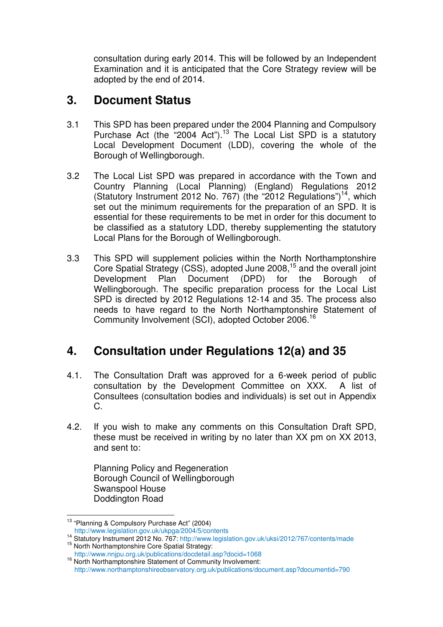consultation during early 2014. This will be followed by an Independent Examination and it is anticipated that the Core Strategy review will be adopted by the end of 2014.

# **3. Document Status**

- 3.1 This SPD has been prepared under the 2004 Planning and Compulsory Purchase Act (the  $"2004$  Act").<sup>13</sup> The Local List SPD is a statutory Local Development Document (LDD), covering the whole of the Borough of Wellingborough.
- 3.2 The Local List SPD was prepared in accordance with the Town and Country Planning (Local Planning) (England) Regulations 2012 (Statutory Instrument 2012 No. 767) (the "2012 Regulations")<sup>14</sup>, which set out the minimum requirements for the preparation of an SPD. It is essential for these requirements to be met in order for this document to be classified as a statutory LDD, thereby supplementing the statutory Local Plans for the Borough of Wellingborough.
- 3.3 This SPD will supplement policies within the North Northamptonshire Core Spatial Strategy (CSS), adopted June 2008,<sup>15</sup> and the overall joint Development Plan Document (DPD) for the Borough of Wellingborough. The specific preparation process for the Local List SPD is directed by 2012 Regulations 12-14 and 35. The process also needs to have regard to the North Northamptonshire Statement of Community Involvement (SCI), adopted October 2006.<sup>16</sup>

# **4. Consultation under Regulations 12(a) and 35**

- 4.1. The Consultation Draft was approved for a 6-week period of public consultation by the Development Committee on XXX. A list of Consultees (consultation bodies and individuals) is set out in Appendix C.
- 4.2. If you wish to make any comments on this Consultation Draft SPD, these must be received in writing by no later than XX pm on XX 2013, and sent to:

Planning Policy and Regeneration Borough Council of Wellingborough Swanspool House Doddington Road

 $\overline{a}$ 

<sup>13</sup> "Planning & Compulsory Purchase Act" (2004)

http://www.legislation.gov.uk/ukpga/2004/5/contents

<sup>14</sup> Statutory Instrument 2012 No. 767: http://www.legislation.gov.uk/uksi/2012/767/contents/made <sup>15</sup> North Northamptonshire Core Spatial Strategy:

http://www.nnjpu.org.uk/publications/docdetail.asp?docid=1068 <sup>16</sup> North Northamptonshire Statement of Community Involvement: http://www.northamptonshireobservatory.org.uk/publications/document.asp?documentid=790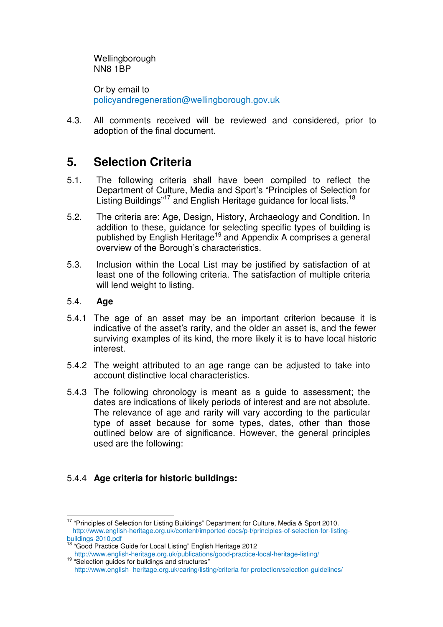Wellingborough NN8 1BP

Or by email to policyandregeneration@wellingborough.gov.uk

4.3. All comments received will be reviewed and considered, prior to adoption of the final document.

# **5. Selection Criteria**

- 5.1. The following criteria shall have been compiled to reflect the Department of Culture, Media and Sport's "Principles of Selection for Listing Buildings"<sup>17</sup> and English Heritage guidance for local lists.<sup>18</sup>
- 5.2. The criteria are: Age, Design, History, Archaeology and Condition. In addition to these, guidance for selecting specific types of building is published by English Heritage<sup>19</sup> and Appendix A comprises a general overview of the Borough's characteristics.
- 5.3. Inclusion within the Local List may be justified by satisfaction of at least one of the following criteria. The satisfaction of multiple criteria will lend weight to listing.

### 5.4. **Age**

 $\overline{a}$ 

- 5.4.1 The age of an asset may be an important criterion because it is indicative of the asset's rarity, and the older an asset is, and the fewer surviving examples of its kind, the more likely it is to have local historic interest.
- 5.4.2 The weight attributed to an age range can be adjusted to take into account distinctive local characteristics.
- 5.4.3 The following chronology is meant as a guide to assessment; the dates are indications of likely periods of interest and are not absolute. The relevance of age and rarity will vary according to the particular type of asset because for some types, dates, other than those outlined below are of significance. However, the general principles used are the following:

# 5.4.4 **Age criteria for historic buildings:**

<sup>&</sup>lt;sup>17</sup> "Principles of Selection for Listing Buildings" Department for Culture, Media & Sport 2010. http://www.english-heritage.org.uk/content/imported-docs/p-t/principles-of-selection-for-listingbuildings-2010.pdf

<sup>&</sup>lt;sup>18</sup> "Good Practice Guide for Local Listing" English Heritage 2012

http://www.english-heritage.org.uk/publications/good-practice-local-heritage-listing/ <sup>19</sup> "Selection guides for buildings and structures"

http://www.english- heritage.org.uk/caring/listing/criteria-for-protection/selection-guidelines/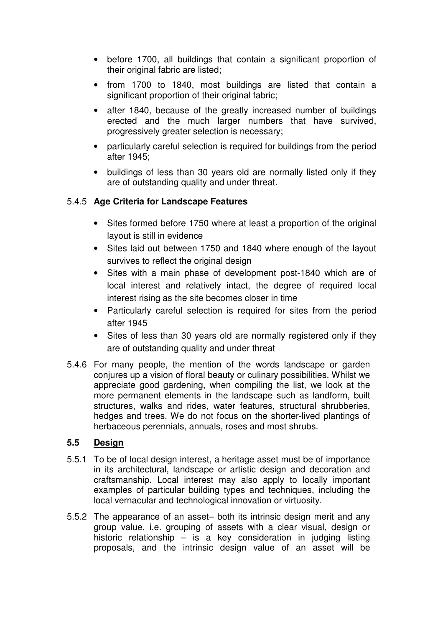- before 1700, all buildings that contain a significant proportion of their original fabric are listed;
- from 1700 to 1840, most buildings are listed that contain a significant proportion of their original fabric;
- after 1840, because of the greatly increased number of buildings erected and the much larger numbers that have survived, progressively greater selection is necessary;
- particularly careful selection is required for buildings from the period after 1945;
- buildings of less than 30 years old are normally listed only if they are of outstanding quality and under threat.

# 5.4.5 **Age Criteria for Landscape Features**

- Sites formed before 1750 where at least a proportion of the original layout is still in evidence
- Sites laid out between 1750 and 1840 where enough of the layout survives to reflect the original design
- Sites with a main phase of development post-1840 which are of local interest and relatively intact, the degree of required local interest rising as the site becomes closer in time
- Particularly careful selection is required for sites from the period after 1945
- Sites of less than 30 years old are normally registered only if they are of outstanding quality and under threat
- 5.4.6 For many people, the mention of the words landscape or garden conjures up a vision of floral beauty or culinary possibilities. Whilst we appreciate good gardening, when compiling the list, we look at the more permanent elements in the landscape such as landform, built structures, walks and rides, water features, structural shrubberies, hedges and trees. We do not focus on the shorter-lived plantings of herbaceous perennials, annuals, roses and most shrubs.

# **5.5 Design**

- 5.5.1 To be of local design interest, a heritage asset must be of importance in its architectural, landscape or artistic design and decoration and craftsmanship. Local interest may also apply to locally important examples of particular building types and techniques, including the local vernacular and technological innovation or virtuosity.
- 5.5.2 The appearance of an asset– both its intrinsic design merit and any group value, i.e. grouping of assets with a clear visual, design or historic relationship – is a key consideration in judging listing proposals, and the intrinsic design value of an asset will be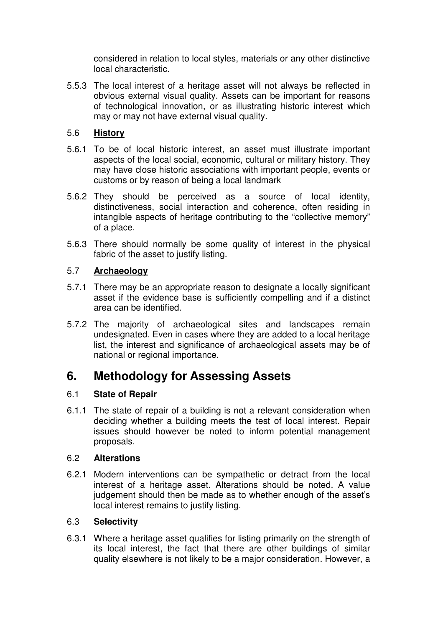considered in relation to local styles, materials or any other distinctive local characteristic.

5.5.3 The local interest of a heritage asset will not always be reflected in obvious external visual quality. Assets can be important for reasons of technological innovation, or as illustrating historic interest which may or may not have external visual quality.

# 5.6 **History**

- 5.6.1 To be of local historic interest, an asset must illustrate important aspects of the local social, economic, cultural or military history. They may have close historic associations with important people, events or customs or by reason of being a local landmark
- 5.6.2 They should be perceived as a source of local identity, distinctiveness, social interaction and coherence, often residing in intangible aspects of heritage contributing to the "collective memory" of a place.
- 5.6.3 There should normally be some quality of interest in the physical fabric of the asset to justify listing.

# 5.7 **Archaeology**

- 5.7.1 There may be an appropriate reason to designate a locally significant asset if the evidence base is sufficiently compelling and if a distinct area can be identified.
- 5.7.2 The majority of archaeological sites and landscapes remain undesignated. Even in cases where they are added to a local heritage list, the interest and significance of archaeological assets may be of national or regional importance.

# **6. Methodology for Assessing Assets**

# 6.1 **State of Repair**

6.1.1 The state of repair of a building is not a relevant consideration when deciding whether a building meets the test of local interest. Repair issues should however be noted to inform potential management proposals.

# 6.2 **Alterations**

6.2.1 Modern interventions can be sympathetic or detract from the local interest of a heritage asset. Alterations should be noted. A value judgement should then be made as to whether enough of the asset's local interest remains to justify listing.

# 6.3 **Selectivity**

6.3.1 Where a heritage asset qualifies for listing primarily on the strength of its local interest, the fact that there are other buildings of similar quality elsewhere is not likely to be a major consideration. However, a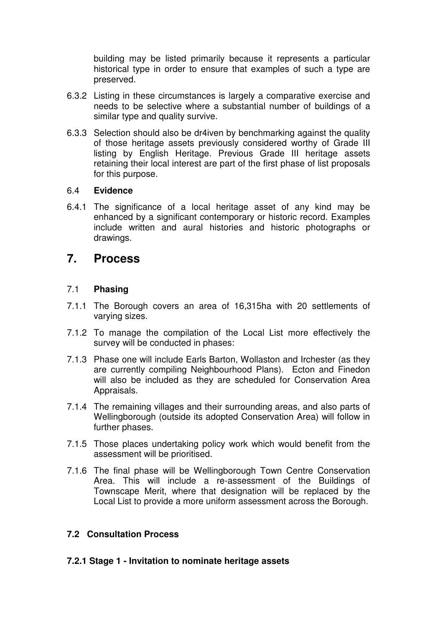building may be listed primarily because it represents a particular historical type in order to ensure that examples of such a type are preserved.

- 6.3.2 Listing in these circumstances is largely a comparative exercise and needs to be selective where a substantial number of buildings of a similar type and quality survive.
- 6.3.3 Selection should also be dr4iven by benchmarking against the quality of those heritage assets previously considered worthy of Grade III listing by English Heritage. Previous Grade III heritage assets retaining their local interest are part of the first phase of list proposals for this purpose.

#### 6.4 **Evidence**

6.4.1 The significance of a local heritage asset of any kind may be enhanced by a significant contemporary or historic record. Examples include written and aural histories and historic photographs or drawings.

# **7. Process**

### 7.1 **Phasing**

- 7.1.1 The Borough covers an area of 16,315ha with 20 settlements of varying sizes.
- 7.1.2 To manage the compilation of the Local List more effectively the survey will be conducted in phases:
- 7.1.3 Phase one will include Earls Barton, Wollaston and Irchester (as they are currently compiling Neighbourhood Plans). Ecton and Finedon will also be included as they are scheduled for Conservation Area Appraisals.
- 7.1.4 The remaining villages and their surrounding areas, and also parts of Wellingborough (outside its adopted Conservation Area) will follow in further phases.
- 7.1.5 Those places undertaking policy work which would benefit from the assessment will be prioritised.
- 7.1.6 The final phase will be Wellingborough Town Centre Conservation Area. This will include a re-assessment of the Buildings of Townscape Merit, where that designation will be replaced by the Local List to provide a more uniform assessment across the Borough.

# **7.2 Consultation Process**

**7.2.1 Stage 1 - Invitation to nominate heritage assets**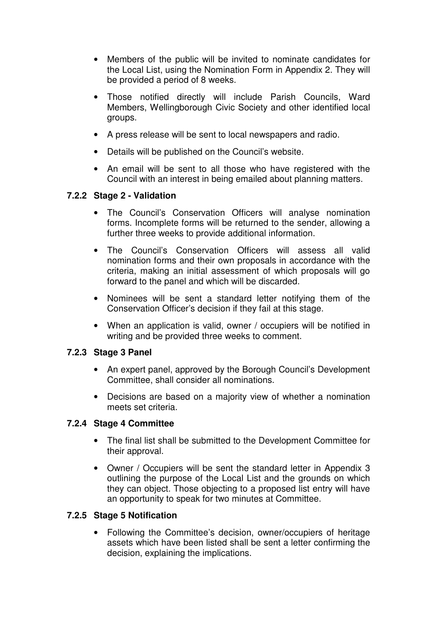- Members of the public will be invited to nominate candidates for the Local List, using the Nomination Form in Appendix 2. They will be provided a period of 8 weeks.
- Those notified directly will include Parish Councils, Ward Members, Wellingborough Civic Society and other identified local groups.
- A press release will be sent to local newspapers and radio.
- Details will be published on the Council's website.
- An email will be sent to all those who have registered with the Council with an interest in being emailed about planning matters.

## **7.2.2 Stage 2 - Validation**

- The Council's Conservation Officers will analyse nomination forms. Incomplete forms will be returned to the sender, allowing a further three weeks to provide additional information.
- The Council's Conservation Officers will assess all valid nomination forms and their own proposals in accordance with the criteria, making an initial assessment of which proposals will go forward to the panel and which will be discarded.
- Nominees will be sent a standard letter notifying them of the Conservation Officer's decision if they fail at this stage.
- When an application is valid, owner / occupiers will be notified in writing and be provided three weeks to comment.

### **7.2.3 Stage 3 Panel**

- An expert panel, approved by the Borough Council's Development Committee, shall consider all nominations.
- Decisions are based on a majority view of whether a nomination meets set criteria.

### **7.2.4 Stage 4 Committee**

- The final list shall be submitted to the Development Committee for their approval.
- Owner / Occupiers will be sent the standard letter in Appendix 3 outlining the purpose of the Local List and the grounds on which they can object. Those objecting to a proposed list entry will have an opportunity to speak for two minutes at Committee.

### **7.2.5 Stage 5 Notification**

• Following the Committee's decision, owner/occupiers of heritage assets which have been listed shall be sent a letter confirming the decision, explaining the implications.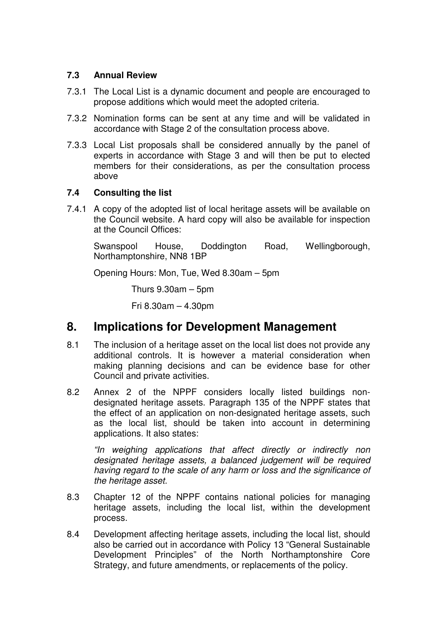# **7.3 Annual Review**

- 7.3.1 The Local List is a dynamic document and people are encouraged to propose additions which would meet the adopted criteria.
- 7.3.2 Nomination forms can be sent at any time and will be validated in accordance with Stage 2 of the consultation process above.
- 7.3.3 Local List proposals shall be considered annually by the panel of experts in accordance with Stage 3 and will then be put to elected members for their considerations, as per the consultation process above

## **7.4 Consulting the list**

7.4.1 A copy of the adopted list of local heritage assets will be available on the Council website. A hard copy will also be available for inspection at the Council Offices:

 Swanspool House, Doddington Road, Wellingborough, Northamptonshire, NN8 1BP

Opening Hours: Mon, Tue, Wed 8.30am – 5pm

Thurs  $9.30$ am – 5pm

Fri 8.30am – 4.30pm

# **8. Implications for Development Management**

- 8.1 The inclusion of a heritage asset on the local list does not provide any additional controls. It is however a material consideration when making planning decisions and can be evidence base for other Council and private activities.
- 8.2 Annex 2 of the NPPF considers locally listed buildings nondesignated heritage assets. Paragraph 135 of the NPPF states that the effect of an application on non-designated heritage assets, such as the local list, should be taken into account in determining applications. It also states:

"In weighing applications that affect directly or indirectly non designated heritage assets, a balanced judgement will be required having regard to the scale of any harm or loss and the significance of the heritage asset.

- 8.3 Chapter 12 of the NPPF contains national policies for managing heritage assets, including the local list, within the development process.
- 8.4 Development affecting heritage assets, including the local list, should also be carried out in accordance with Policy 13 "General Sustainable Development Principles" of the North Northamptonshire Core Strategy, and future amendments, or replacements of the policy.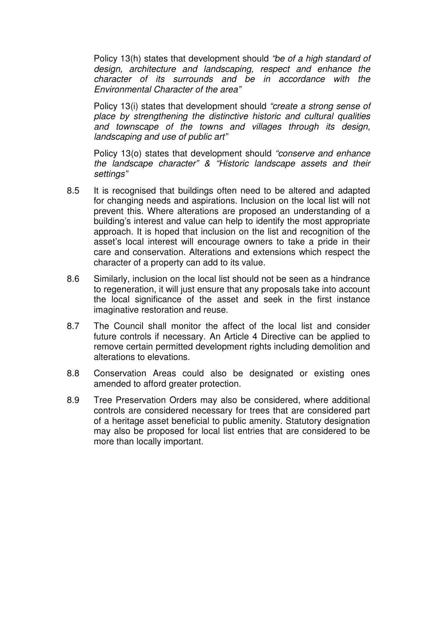Policy 13(h) states that development should "be of a high standard of design, architecture and landscaping, respect and enhance the character of its surrounds and be in accordance with the Environmental Character of the area"

Policy 13(i) states that development should "create a strong sense of place by strengthening the distinctive historic and cultural qualities and townscape of the towns and villages through its design, landscaping and use of public art"

Policy 13(o) states that development should "conserve and enhance the landscape character" & "Historic landscape assets and their settings"

- 8.5 It is recognised that buildings often need to be altered and adapted for changing needs and aspirations. Inclusion on the local list will not prevent this. Where alterations are proposed an understanding of a building's interest and value can help to identify the most appropriate approach. It is hoped that inclusion on the list and recognition of the asset's local interest will encourage owners to take a pride in their care and conservation. Alterations and extensions which respect the character of a property can add to its value.
- 8.6 Similarly, inclusion on the local list should not be seen as a hindrance to regeneration, it will just ensure that any proposals take into account the local significance of the asset and seek in the first instance imaginative restoration and reuse.
- 8.7 The Council shall monitor the affect of the local list and consider future controls if necessary. An Article 4 Directive can be applied to remove certain permitted development rights including demolition and alterations to elevations.
- 8.8 Conservation Areas could also be designated or existing ones amended to afford greater protection.
- 8.9 Tree Preservation Orders may also be considered, where additional controls are considered necessary for trees that are considered part of a heritage asset beneficial to public amenity. Statutory designation may also be proposed for local list entries that are considered to be more than locally important.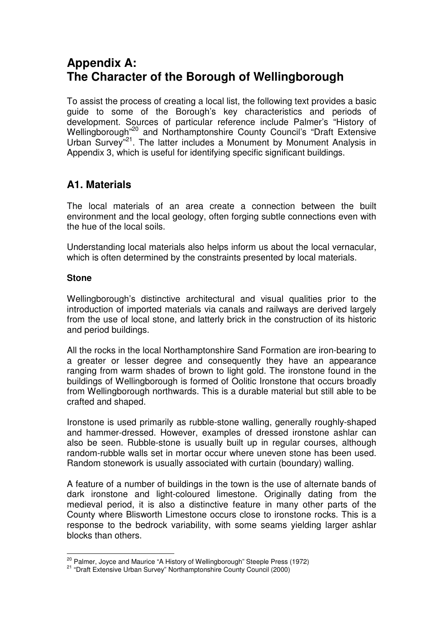# **Appendix A: The Character of the Borough of Wellingborough**

To assist the process of creating a local list, the following text provides a basic guide to some of the Borough's key characteristics and periods of development. Sources of particular reference include Palmer's "History of Wellingborough"<sup>20</sup> and Northamptonshire County Council's "Draft Extensive Urban Survey<sup>"21</sup>. The latter includes a Monument by Monument Analysis in Appendix 3, which is useful for identifying specific significant buildings.

# **A1. Materials**

The local materials of an area create a connection between the built environment and the local geology, often forging subtle connections even with the hue of the local soils.

Understanding local materials also helps inform us about the local vernacular, which is often determined by the constraints presented by local materials.

## **Stone**

 $\overline{a}$ 

Wellingborough's distinctive architectural and visual qualities prior to the introduction of imported materials via canals and railways are derived largely from the use of local stone, and latterly brick in the construction of its historic and period buildings.

All the rocks in the local Northamptonshire Sand Formation are iron-bearing to a greater or lesser degree and consequently they have an appearance ranging from warm shades of brown to light gold. The ironstone found in the buildings of Wellingborough is formed of Oolitic Ironstone that occurs broadly from Wellingborough northwards. This is a durable material but still able to be crafted and shaped.

Ironstone is used primarily as rubble-stone walling, generally roughly-shaped and hammer-dressed. However, examples of dressed ironstone ashlar can also be seen. Rubble-stone is usually built up in regular courses, although random-rubble walls set in mortar occur where uneven stone has been used. Random stonework is usually associated with curtain (boundary) walling.

A feature of a number of buildings in the town is the use of alternate bands of dark ironstone and light-coloured limestone. Originally dating from the medieval period, it is also a distinctive feature in many other parts of the County where Blisworth Limestone occurs close to ironstone rocks. This is a response to the bedrock variability, with some seams yielding larger ashlar blocks than others.

<sup>&</sup>lt;sup>20</sup> Palmer, Joyce and Maurice "A History of Wellingborough" Steeple Press (1972)

<sup>&</sup>lt;sup>21</sup> "Draft Extensive Urban Survey" Northamptonshire County Council (2000)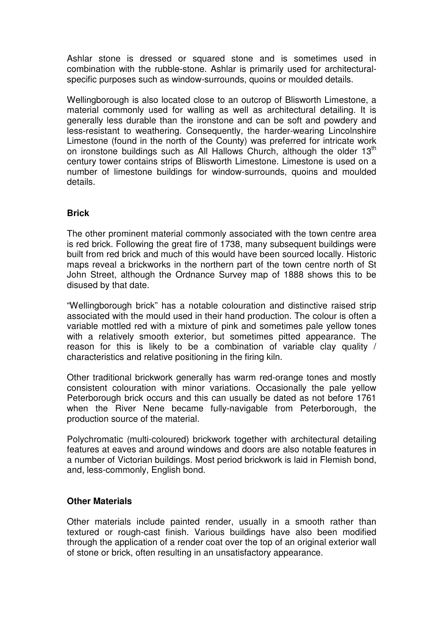Ashlar stone is dressed or squared stone and is sometimes used in combination with the rubble-stone. Ashlar is primarily used for architecturalspecific purposes such as window-surrounds, quoins or moulded details.

Wellingborough is also located close to an outcrop of Blisworth Limestone, a material commonly used for walling as well as architectural detailing. It is generally less durable than the ironstone and can be soft and powdery and less-resistant to weathering. Consequently, the harder-wearing Lincolnshire Limestone (found in the north of the County) was preferred for intricate work on ironstone buildings such as All Hallows Church, although the older  $13<sup>th</sup>$ century tower contains strips of Blisworth Limestone. Limestone is used on a number of limestone buildings for window-surrounds, quoins and moulded details.

# **Brick**

The other prominent material commonly associated with the town centre area is red brick. Following the great fire of 1738, many subsequent buildings were built from red brick and much of this would have been sourced locally. Historic maps reveal a brickworks in the northern part of the town centre north of St John Street, although the Ordnance Survey map of 1888 shows this to be disused by that date.

"Wellingborough brick" has a notable colouration and distinctive raised strip associated with the mould used in their hand production. The colour is often a variable mottled red with a mixture of pink and sometimes pale yellow tones with a relatively smooth exterior, but sometimes pitted appearance. The reason for this is likely to be a combination of variable clay quality / characteristics and relative positioning in the firing kiln.

Other traditional brickwork generally has warm red-orange tones and mostly consistent colouration with minor variations. Occasionally the pale yellow Peterborough brick occurs and this can usually be dated as not before 1761 when the River Nene became fully-navigable from Peterborough, the production source of the material.

Polychromatic (multi-coloured) brickwork together with architectural detailing features at eaves and around windows and doors are also notable features in a number of Victorian buildings. Most period brickwork is laid in Flemish bond, and, less-commonly, English bond.

## **Other Materials**

Other materials include painted render, usually in a smooth rather than textured or rough-cast finish. Various buildings have also been modified through the application of a render coat over the top of an original exterior wall of stone or brick, often resulting in an unsatisfactory appearance.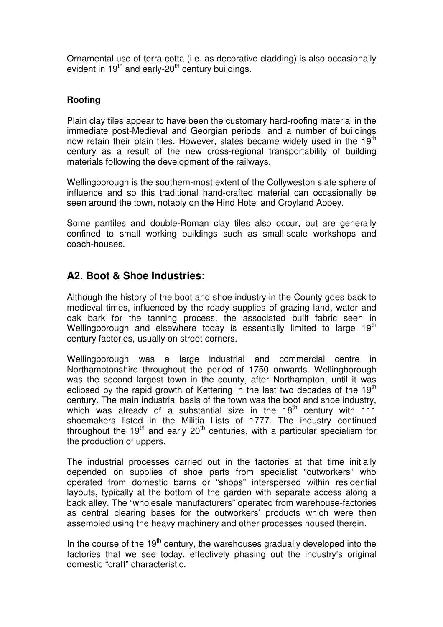Ornamental use of terra-cotta (i.e. as decorative cladding) is also occasionally evident in  $19<sup>th</sup>$  and early-20<sup>th</sup> century buildings.

# **Roofing**

Plain clay tiles appear to have been the customary hard-roofing material in the immediate post-Medieval and Georgian periods, and a number of buildings now retain their plain tiles. However, slates became widely used in the 19<sup>th</sup> century as a result of the new cross-regional transportability of building materials following the development of the railways.

Wellingborough is the southern-most extent of the Collyweston slate sphere of influence and so this traditional hand-crafted material can occasionally be seen around the town, notably on the Hind Hotel and Croyland Abbey.

Some pantiles and double-Roman clay tiles also occur, but are generally confined to small working buildings such as small-scale workshops and coach-houses.

# **A2. Boot & Shoe Industries:**

Although the history of the boot and shoe industry in the County goes back to medieval times, influenced by the ready supplies of grazing land, water and oak bark for the tanning process, the associated built fabric seen in Wellingborough and elsewhere today is essentially limited to large  $19<sup>th</sup>$ century factories, usually on street corners.

Wellingborough was a large industrial and commercial centre in Northamptonshire throughout the period of 1750 onwards. Wellingborough was the second largest town in the county, after Northampton, until it was eclipsed by the rapid growth of Kettering in the last two decades of the  $19<sup>th</sup>$ century. The main industrial basis of the town was the boot and shoe industry, which was already of a substantial size in the  $18<sup>th</sup>$  century with  $111$ shoemakers listed in the Militia Lists of 1777. The industry continued throughout the 19<sup>th</sup> and early 20<sup>th</sup> centuries, with a particular specialism for the production of uppers.

The industrial processes carried out in the factories at that time initially depended on supplies of shoe parts from specialist "outworkers" who operated from domestic barns or "shops" interspersed within residential layouts, typically at the bottom of the garden with separate access along a back alley. The "wholesale manufacturers" operated from warehouse-factories as central clearing bases for the outworkers' products which were then assembled using the heavy machinery and other processes housed therein.

In the course of the  $19<sup>th</sup>$  century, the warehouses gradually developed into the factories that we see today, effectively phasing out the industry's original domestic "craft" characteristic.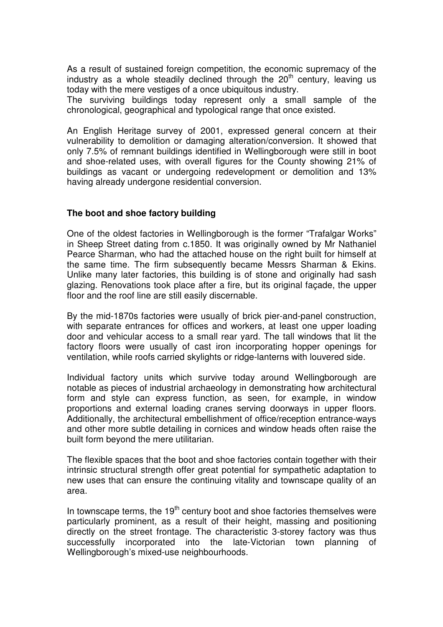As a result of sustained foreign competition, the economic supremacy of the industry as a whole steadily declined through the 20<sup>th</sup> century, leaving us today with the mere vestiges of a once ubiquitous industry.

The surviving buildings today represent only a small sample of the chronological, geographical and typological range that once existed.

An English Heritage survey of 2001, expressed general concern at their vulnerability to demolition or damaging alteration/conversion. It showed that only 7.5% of remnant buildings identified in Wellingborough were still in boot and shoe-related uses, with overall figures for the County showing 21% of buildings as vacant or undergoing redevelopment or demolition and 13% having already undergone residential conversion.

#### **The boot and shoe factory building**

One of the oldest factories in Wellingborough is the former "Trafalgar Works" in Sheep Street dating from c.1850. It was originally owned by Mr Nathaniel Pearce Sharman, who had the attached house on the right built for himself at the same time. The firm subsequently became Messrs Sharman & Ekins. Unlike many later factories, this building is of stone and originally had sash glazing. Renovations took place after a fire, but its original façade, the upper floor and the roof line are still easily discernable.

By the mid-1870s factories were usually of brick pier-and-panel construction, with separate entrances for offices and workers, at least one upper loading door and vehicular access to a small rear yard. The tall windows that lit the factory floors were usually of cast iron incorporating hopper openings for ventilation, while roofs carried skylights or ridge-lanterns with louvered side.

Individual factory units which survive today around Wellingborough are notable as pieces of industrial archaeology in demonstrating how architectural form and style can express function, as seen, for example, in window proportions and external loading cranes serving doorways in upper floors. Additionally, the architectural embellishment of office/reception entrance-ways and other more subtle detailing in cornices and window heads often raise the built form beyond the mere utilitarian.

The flexible spaces that the boot and shoe factories contain together with their intrinsic structural strength offer great potential for sympathetic adaptation to new uses that can ensure the continuing vitality and townscape quality of an area.

In townscape terms, the  $19<sup>th</sup>$  century boot and shoe factories themselves were particularly prominent, as a result of their height, massing and positioning directly on the street frontage. The characteristic 3-storey factory was thus successfully incorporated into the late-Victorian town planning of Wellingborough's mixed-use neighbourhoods.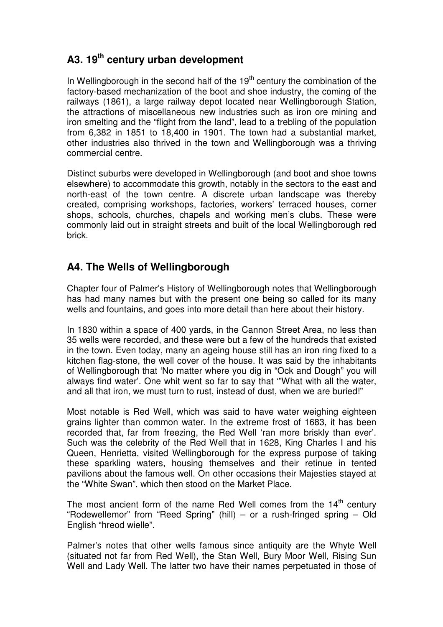# **A3. 19th century urban development**

In Wellingborough in the second half of the  $19<sup>th</sup>$  century the combination of the factory-based mechanization of the boot and shoe industry, the coming of the railways (1861), a large railway depot located near Wellingborough Station, the attractions of miscellaneous new industries such as iron ore mining and iron smelting and the "flight from the land", lead to a trebling of the population from 6,382 in 1851 to 18,400 in 1901. The town had a substantial market, other industries also thrived in the town and Wellingborough was a thriving commercial centre.

Distinct suburbs were developed in Wellingborough (and boot and shoe towns elsewhere) to accommodate this growth, notably in the sectors to the east and north-east of the town centre. A discrete urban landscape was thereby created, comprising workshops, factories, workers' terraced houses, corner shops, schools, churches, chapels and working men's clubs. These were commonly laid out in straight streets and built of the local Wellingborough red brick.

# **A4. The Wells of Wellingborough**

Chapter four of Palmer's History of Wellingborough notes that Wellingborough has had many names but with the present one being so called for its many wells and fountains, and goes into more detail than here about their history.

In 1830 within a space of 400 yards, in the Cannon Street Area, no less than 35 wells were recorded, and these were but a few of the hundreds that existed in the town. Even today, many an ageing house still has an iron ring fixed to a kitchen flag-stone, the well cover of the house. It was said by the inhabitants of Wellingborough that 'No matter where you dig in "Ock and Dough" you will always find water'. One whit went so far to say that '"What with all the water, and all that iron, we must turn to rust, instead of dust, when we are buried!"

Most notable is Red Well, which was said to have water weighing eighteen grains lighter than common water. In the extreme frost of 1683, it has been recorded that, far from freezing, the Red Well 'ran more briskly than ever'. Such was the celebrity of the Red Well that in 1628, King Charles I and his Queen, Henrietta, visited Wellingborough for the express purpose of taking these sparkling waters, housing themselves and their retinue in tented pavilions about the famous well. On other occasions their Majesties stayed at the "White Swan", which then stood on the Market Place.

The most ancient form of the name Red Well comes from the  $14<sup>th</sup>$  century "Rodewellemor" from "Reed Spring" (hill) – or a rush-fringed spring – Old English "hreod wielle".

Palmer's notes that other wells famous since antiquity are the Whyte Well (situated not far from Red Well), the Stan Well, Bury Moor Well, Rising Sun Well and Lady Well. The latter two have their names perpetuated in those of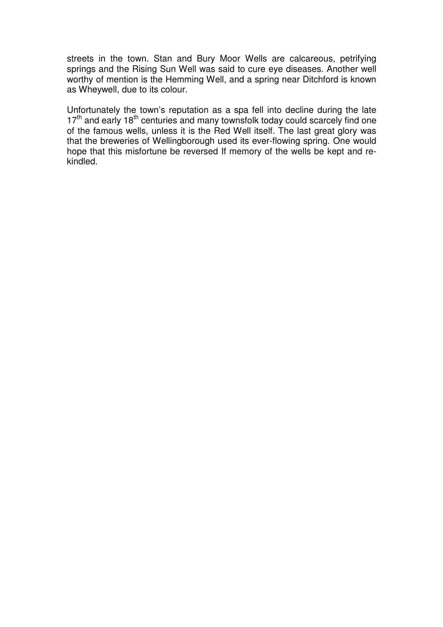streets in the town. Stan and Bury Moor Wells are calcareous, petrifying springs and the Rising Sun Well was said to cure eye diseases. Another well worthy of mention is the Hemming Well, and a spring near Ditchford is known as Wheywell, due to its colour.

Unfortunately the town's reputation as a spa fell into decline during the late 17<sup>th</sup> and early 18<sup>th</sup> centuries and many townsfolk today could scarcely find one of the famous wells, unless it is the Red Well itself. The last great glory was that the breweries of Wellingborough used its ever-flowing spring. One would hope that this misfortune be reversed If memory of the wells be kept and rekindled.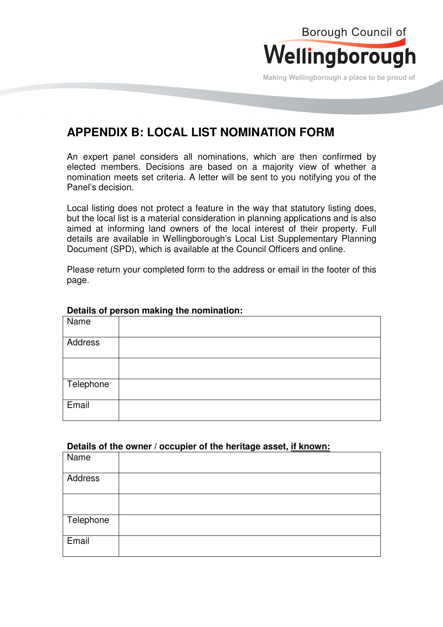

Making Wellingborough a place to be proud of

# **APPENDIX B: LOCAL LIST NOMINATION FORM**

An expert panel considers all nominations, which are then confirmed by elected members. Decisions are based on a majority view of whether a nomination meets set criteria. A letter will be sent to you notifying you of the Panel's decision.

Local listing does not protect a feature in the way that statutory listing does, but the local list is a material consideration in planning applications and is also aimed at informing land owners of the local interest of their property. Full details are available in Wellingborough's Local List Supplementary Planning Document (SPD), which is available at the Council Officers and online.

Please return your completed form to the address or email in the footer of this page.

| Name      |  |  |
|-----------|--|--|
| Address   |  |  |
|           |  |  |
| Telephone |  |  |
| Email     |  |  |

#### **Details of person making the nomination:**

#### **Details of the owner / occupier of the heritage asset, if known:**

| Name      |  |
|-----------|--|
| Address   |  |
|           |  |
| Telephone |  |
| Email     |  |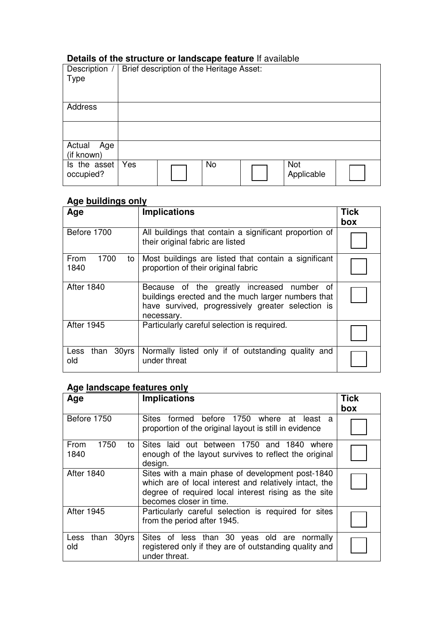# **Details of the structure or landscape feature** If available

| Description /<br>Type       |     | Brief description of the Heritage Asset: |           |                   |  |
|-----------------------------|-----|------------------------------------------|-----------|-------------------|--|
| Address                     |     |                                          |           |                   |  |
| Actual<br>Age<br>(if known) |     |                                          |           |                   |  |
| Is the asset<br>occupied?   | Yes |                                          | <b>No</b> | Not<br>Applicable |  |

# **Age buildings only**

| Age                          | <b>Implications</b>                                                                                                                                                 | <b>Tick</b><br>box |
|------------------------------|---------------------------------------------------------------------------------------------------------------------------------------------------------------------|--------------------|
| Before 1700                  | All buildings that contain a significant proportion of<br>their original fabric are listed                                                                          |                    |
| 1700<br>From<br>to<br>1840   | Most buildings are listed that contain a significant<br>proportion of their original fabric                                                                         |                    |
| <b>After 1840</b>            | Because of the greatly increased number of<br>buildings erected and the much larger numbers that<br>have survived, progressively greater selection is<br>necessary. |                    |
| <b>After 1945</b>            | Particularly careful selection is required.                                                                                                                         |                    |
| 30yrs<br>Less<br>than<br>old | Normally listed only if of outstanding quality and<br>under threat                                                                                                  |                    |

# **Age landscape features only**

| Age                        | <b>Implications</b>                                                                                                                                                                           | <b>Tick</b> |
|----------------------------|-----------------------------------------------------------------------------------------------------------------------------------------------------------------------------------------------|-------------|
| Before 1750                | Sites formed before 1750 where at least a<br>proportion of the original layout is still in evidence                                                                                           | box         |
| 1750<br>From<br>to<br>1840 | Sites laid out between 1750 and 1840<br>where<br>enough of the layout survives to reflect the original<br>design.                                                                             |             |
| <b>After 1840</b>          | Sites with a main phase of development post-1840<br>which are of local interest and relatively intact, the<br>degree of required local interest rising as the site<br>becomes closer in time. |             |
| <b>After 1945</b>          | Particularly careful selection is required for sites<br>from the period after 1945.                                                                                                           |             |
| than 30yrs<br>Less<br>old  | Sites of less than 30 yeas old are normally<br>registered only if they are of outstanding quality and<br>under threat.                                                                        |             |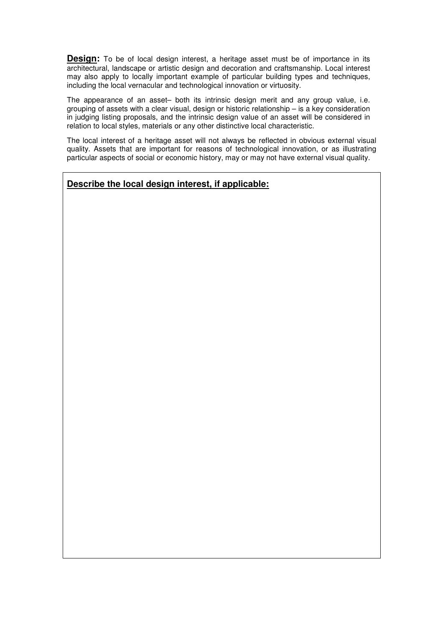**Design:** To be of local design interest, a heritage asset must be of importance in its architectural, landscape or artistic design and decoration and craftsmanship. Local interest may also apply to locally important example of particular building types and techniques, including the local vernacular and technological innovation or virtuosity.

The appearance of an asset– both its intrinsic design merit and any group value, i.e. grouping of assets with a clear visual, design or historic relationship – is a key consideration in judging listing proposals, and the intrinsic design value of an asset will be considered in relation to local styles, materials or any other distinctive local characteristic.

The local interest of a heritage asset will not always be reflected in obvious external visual quality. Assets that are important for reasons of technological innovation, or as illustrating particular aspects of social or economic history, may or may not have external visual quality.

#### **Describe the local design interest, if applicable:**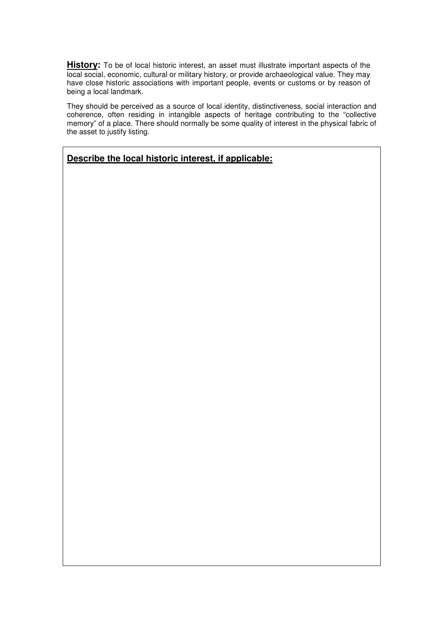**History:** To be of local historic interest, an asset must illustrate important aspects of the local social, economic, cultural or military history, or provide archaeological value. They may have close historic associations with important people, events or customs or by reason of being a local landmark.

They should be perceived as a source of local identity, distinctiveness, social interaction and coherence, often residing in intangible aspects of heritage contributing to the "collective memory" of a place. There should normally be some quality of interest in the physical fabric of the asset to justify listing.

# **Describe the local historic interest, if applicable:**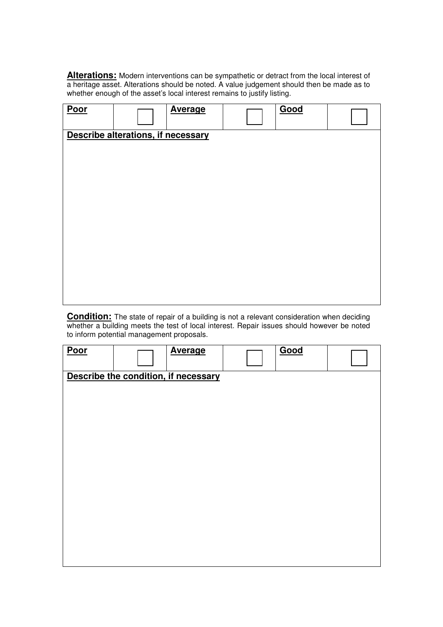**Alterations:** Modern interventions can be sympathetic or detract from the local interest of a heritage asset. Alterations should be noted. A value judgement should then be made as to whether enough of the asset's local interest remains to justify listing.

| Poor |                                    | <b>Average</b> | Good |  |
|------|------------------------------------|----------------|------|--|
|      | Describe alterations, if necessary |                |      |  |
|      |                                    |                |      |  |
|      |                                    |                |      |  |
|      |                                    |                |      |  |
|      |                                    |                |      |  |
|      |                                    |                |      |  |
|      |                                    |                |      |  |
|      |                                    |                |      |  |
|      |                                    |                |      |  |
|      |                                    |                |      |  |
|      |                                    |                |      |  |
|      |                                    |                |      |  |
|      |                                    |                |      |  |
|      |                                    |                |      |  |
|      |                                    |                |      |  |

**Condition:** The state of repair of a building is not a relevant consideration when deciding whether a building meets the test of local interest. Repair issues should however be noted to inform potential management proposals.

| <b>Poor</b> | <b>Average</b>                       | Good |  |
|-------------|--------------------------------------|------|--|
|             | Describe the condition, if necessary |      |  |
|             |                                      |      |  |
|             |                                      |      |  |
|             |                                      |      |  |
|             |                                      |      |  |
|             |                                      |      |  |
|             |                                      |      |  |
|             |                                      |      |  |
|             |                                      |      |  |
|             |                                      |      |  |
|             |                                      |      |  |
|             |                                      |      |  |
|             |                                      |      |  |
|             |                                      |      |  |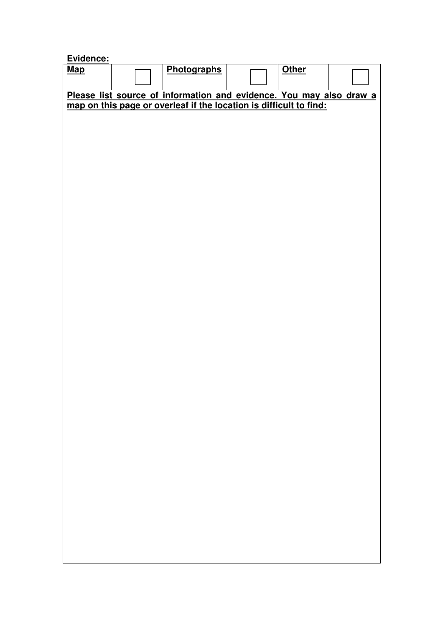| Evidence:  |                                                                     |              |  |
|------------|---------------------------------------------------------------------|--------------|--|
| <b>Map</b> | Photographs                                                         | <b>Other</b> |  |
|            |                                                                     |              |  |
|            | Please list source of information and evidence. You may also draw a |              |  |
|            | map on this page or overleaf if the location is difficult to find:  |              |  |
|            |                                                                     |              |  |
|            |                                                                     |              |  |
|            |                                                                     |              |  |
|            |                                                                     |              |  |
|            |                                                                     |              |  |
|            |                                                                     |              |  |
|            |                                                                     |              |  |
|            |                                                                     |              |  |
|            |                                                                     |              |  |
|            |                                                                     |              |  |
|            |                                                                     |              |  |
|            |                                                                     |              |  |
|            |                                                                     |              |  |
|            |                                                                     |              |  |
|            |                                                                     |              |  |
|            |                                                                     |              |  |
|            |                                                                     |              |  |
|            |                                                                     |              |  |
|            |                                                                     |              |  |
|            |                                                                     |              |  |
|            |                                                                     |              |  |
|            |                                                                     |              |  |
|            |                                                                     |              |  |
|            |                                                                     |              |  |
|            |                                                                     |              |  |
|            |                                                                     |              |  |
|            |                                                                     |              |  |
|            |                                                                     |              |  |
|            |                                                                     |              |  |
|            |                                                                     |              |  |
|            |                                                                     |              |  |
|            |                                                                     |              |  |
|            |                                                                     |              |  |
|            |                                                                     |              |  |